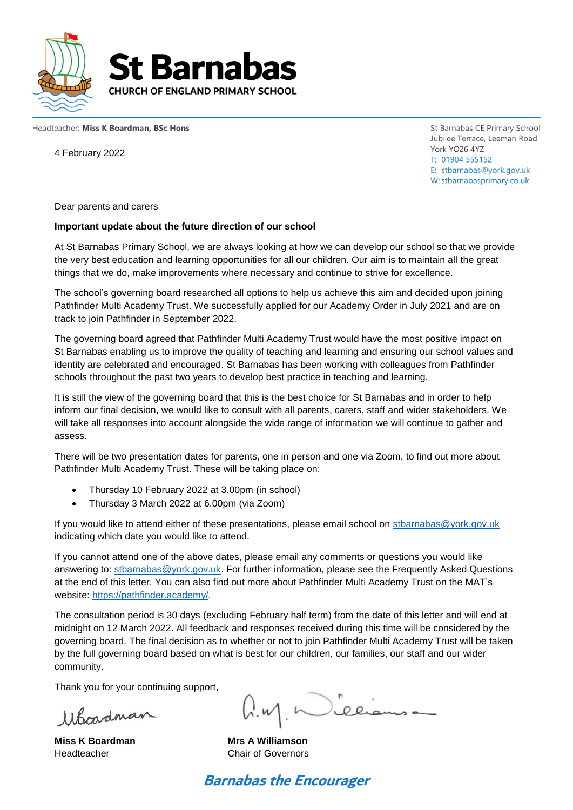



Headteacher: Miss K Boardman, BSc Hons

4 February 2022

St Barnabas CE Primary School Jubilee Terrace, Leeman Road York YO26 4YZ T: 01904 555152 E: stbarnabas@york.gov.uk W: stbarnabasprimary.co.uk

Dear parents and carers

#### **Important update about the future direction of our school**

At St Barnabas Primary School, we are always looking at how we can develop our school so that we provide the very best education and learning opportunities for all our children. Our aim is to maintain all the great things that we do, make improvements where necessary and continue to strive for excellence.

The school's governing board researched all options to help us achieve this aim and decided upon joining Pathfinder Multi Academy Trust. We successfully applied for our Academy Order in July 2021 and are on track to join Pathfinder in September 2022.

The governing board agreed that Pathfinder Multi Academy Trust would have the most positive impact on St Barnabas enabling us to improve the quality of teaching and learning and ensuring our school values and identity are celebrated and encouraged. St Barnabas has been working with colleagues from Pathfinder schools throughout the past two years to develop best practice in teaching and learning.

It is still the view of the governing board that this is the best choice for St Barnabas and in order to help inform our final decision, we would like to consult with all parents, carers, staff and wider stakeholders. We will take all responses into account alongside the wide range of information we will continue to gather and assess.

There will be two presentation dates for parents, one in person and one via Zoom, to find out more about Pathfinder Multi Academy Trust. These will be taking place on:

- Thursday 10 February 2022 at 3.00pm (in school)
- Thursday 3 March 2022 at 6.00pm (via Zoom)

If you would like to attend either of these presentations, please email school on [stbarnabas@york.gov.uk](mailto:stbarnabas@york.gov.uk) indicating which date you would like to attend.

If you cannot attend one of the above dates, please email any comments or questions you would like answering to: [stbarnabas@york.gov.uk.](mailto:stbarnabas@york.gov.uk) For further information, please see the Frequently Asked Questions at the end of this letter. You can also find out more about Pathfinder Multi Academy Trust on the MAT's website: [https://pathfinder.academy/.](https://pathfinder.academy/)

The consultation period is 30 days (excluding February half term) from the date of this letter and will end at midnight on 12 March 2022. All feedback and responses received during this time will be considered by the governing board. The final decision as to whether or not to join Pathfinder Multi Academy Trust will be taken by the full governing board based on what is best for our children, our families, our staff and our wider community.

Thank you for your continuing support,

Whopdman

 $\bigcup_{n=1}^{\infty}$ lee

**Miss K Boardman Mrs A Williamson** Headteacher Chair of Governors

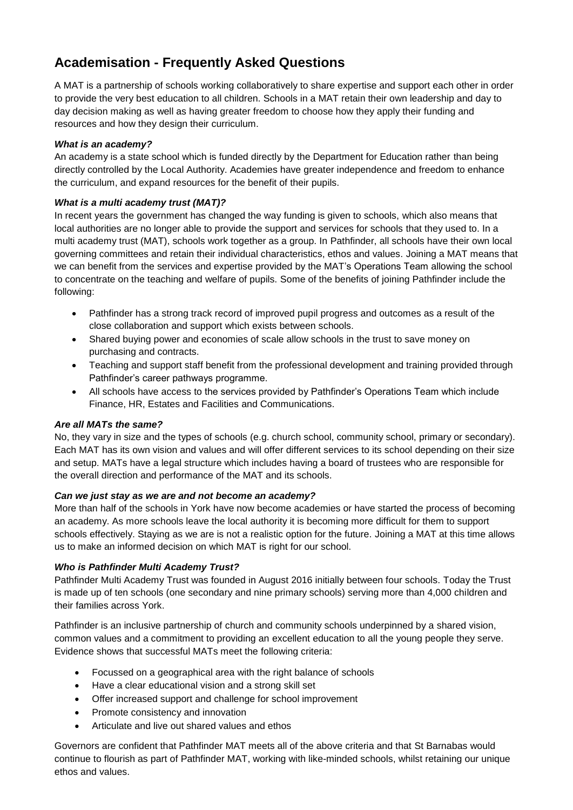# **Academisation - Frequently Asked Questions**

A MAT is a partnership of schools working collaboratively to share expertise and support each other in order to provide the very best education to all children. Schools in a MAT retain their own leadership and day to day decision making as well as having greater freedom to choose how they apply their funding and resources and how they design their curriculum.

## *What is an academy?*

An academy is a state school which is funded directly by the Department for Education rather than being directly controlled by the Local Authority. Academies have greater independence and freedom to enhance the curriculum, and expand resources for the benefit of their pupils.

## *What is a multi academy trust (MAT)?*

In recent years the government has changed the way funding is given to schools, which also means that local authorities are no longer able to provide the support and services for schools that they used to. In a multi academy trust (MAT), schools work together as a group. In Pathfinder, all schools have their own local governing committees and retain their individual characteristics, ethos and values. Joining a MAT means that we can benefit from the services and expertise provided by the MAT's Operations Team allowing the school to concentrate on the teaching and welfare of pupils. Some of the benefits of joining Pathfinder include the following:

- Pathfinder has a strong track record of improved pupil progress and outcomes as a result of the close collaboration and support which exists between schools.
- Shared buying power and economies of scale allow schools in the trust to save money on purchasing and contracts.
- Teaching and support staff benefit from the professional development and training provided through Pathfinder's career pathways programme.
- All schools have access to the services provided by Pathfinder's Operations Team which include Finance, HR, Estates and Facilities and Communications.

#### *Are all MATs the same?*

No, they vary in size and the types of schools (e.g. church school, community school, primary or secondary). Each MAT has its own vision and values and will offer different services to its school depending on their size and setup. MATs have a legal structure which includes having a board of trustees who are responsible for the overall direction and performance of the MAT and its schools.

#### *Can we just stay as we are and not become an academy?*

More than half of the schools in York have now become academies or have started the process of becoming an academy. As more schools leave the local authority it is becoming more difficult for them to support schools effectively. Staying as we are is not a realistic option for the future. Joining a MAT at this time allows us to make an informed decision on which MAT is right for our school.

# *Who is Pathfinder Multi Academy Trust?*

Pathfinder Multi Academy Trust was founded in August 2016 initially between four schools. Today the Trust is made up of ten schools (one secondary and nine primary schools) serving more than 4,000 children and their families across York.

Pathfinder is an inclusive partnership of church and community schools underpinned by a shared vision, common values and a commitment to providing an excellent education to all the young people they serve. Evidence shows that successful MATs meet the following criteria:

- Focussed on a geographical area with the right balance of schools
- Have a clear educational vision and a strong skill set
- Offer increased support and challenge for school improvement
- Promote consistency and innovation
- Articulate and live out shared values and ethos

Governors are confident that Pathfinder MAT meets all of the above criteria and that St Barnabas would continue to flourish as part of Pathfinder MAT, working with like-minded schools, whilst retaining our unique ethos and values.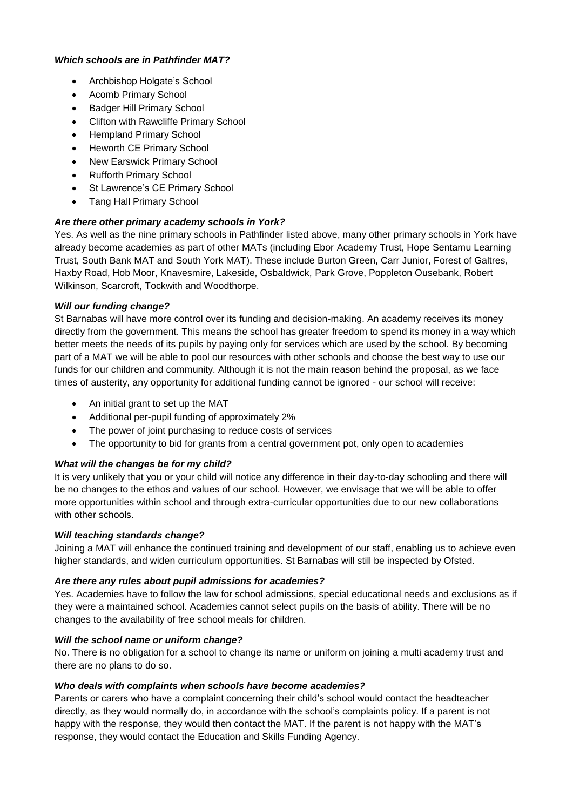## *Which schools are in Pathfinder MAT?*

- Archbishop Holgate's School
- Acomb Primary School
- Badger Hill Primary School
- Clifton with Rawcliffe Primary School
- Hempland Primary School
- Heworth CE Primary School
- New Earswick Primary School
- Rufforth Primary School
- St Lawrence's CE Primary School
- Tang Hall Primary School

# *Are there other primary academy schools in York?*

Yes. As well as the nine primary schools in Pathfinder listed above, many other primary schools in York have already become academies as part of other MATs (including Ebor Academy Trust, Hope Sentamu Learning Trust, South Bank MAT and South York MAT). These include Burton Green, Carr Junior, Forest of Galtres, Haxby Road, Hob Moor, Knavesmire, Lakeside, Osbaldwick, Park Grove, Poppleton Ousebank, Robert Wilkinson, Scarcroft, Tockwith and Woodthorpe.

# *Will our funding change?*

St Barnabas will have more control over its funding and decision-making. An academy receives its money directly from the government. This means the school has greater freedom to spend its money in a way which better meets the needs of its pupils by paying only for services which are used by the school. By becoming part of a MAT we will be able to pool our resources with other schools and choose the best way to use our funds for our children and community. Although it is not the main reason behind the proposal, as we face times of austerity, any opportunity for additional funding cannot be ignored - our school will receive:

- An initial grant to set up the MAT
- Additional per-pupil funding of approximately 2%
- The power of joint purchasing to reduce costs of services
- The opportunity to bid for grants from a central government pot, only open to academies

# *What will the changes be for my child?*

It is very unlikely that you or your child will notice any difference in their day-to-day schooling and there will be no changes to the ethos and values of our school. However, we envisage that we will be able to offer more opportunities within school and through extra-curricular opportunities due to our new collaborations with other schools.

#### *Will teaching standards change?*

Joining a MAT will enhance the continued training and development of our staff, enabling us to achieve even higher standards, and widen curriculum opportunities. St Barnabas will still be inspected by Ofsted.

# *Are there any rules about pupil admissions for academies?*

Yes. Academies have to follow the law for school admissions, special educational needs and exclusions as if they were a maintained school. Academies cannot select pupils on the basis of ability. There will be no changes to the availability of free school meals for children.

#### *Will the school name or uniform change?*

No. There is no obligation for a school to change its name or uniform on joining a multi academy trust and there are no plans to do so.

# *Who deals with complaints when schools have become academies?*

Parents or carers who have a complaint concerning their child's school would contact the headteacher directly, as they would normally do, in accordance with the school's complaints policy. If a parent is not happy with the response, they would then contact the MAT. If the parent is not happy with the MAT's response, they would contact the Education and Skills Funding Agency.